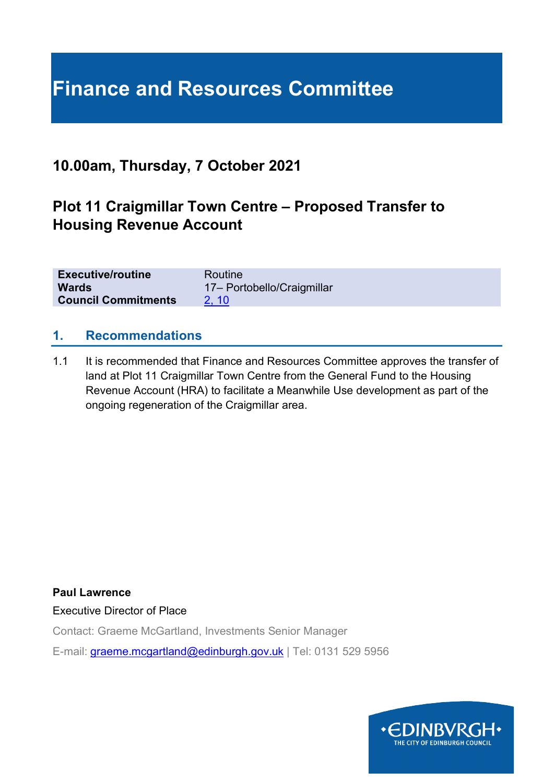# **Finance and Resources Committee**

# **10.00am, Thursday, 7 October 2021**

# **Plot 11 Craigmillar Town Centre – Proposed Transfer to Housing Revenue Account**

| <b>Executive/routine</b>   | Routine                    |
|----------------------------|----------------------------|
| <b>Wards</b>               | 17- Portobello/Craigmillar |
| <b>Council Commitments</b> | 2, 10                      |

#### **1. Recommendations**

1.1 It is recommended that Finance and Resources Committee approves the transfer of land at Plot 11 Craigmillar Town Centre from the General Fund to the Housing Revenue Account (HRA) to facilitate a Meanwhile Use development as part of the ongoing regeneration of the Craigmillar area.

**Paul Lawrence**

Executive Director of Place

Contact: Graeme McGartland, Investments Senior Manager

E-mail: [graeme.mcgartland@edinburgh.gov.uk](mailto:graeme.mcgartland@edinburgh.gov.uk) | Tel: 0131 529 5956

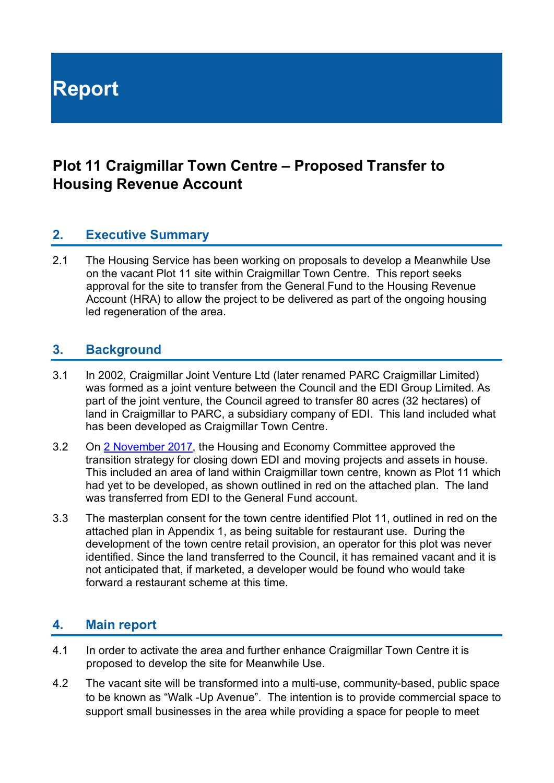**Report**

# **Plot 11 Craigmillar Town Centre – Proposed Transfer to Housing Revenue Account**

#### **2. Executive Summary**

2.1 The Housing Service has been working on proposals to develop a Meanwhile Use on the vacant Plot 11 site within Craigmillar Town Centre. This report seeks approval for the site to transfer from the General Fund to the Housing Revenue Account (HRA) to allow the project to be delivered as part of the ongoing housing led regeneration of the area.

#### **3. Background**

- 3.1 In 2002, Craigmillar Joint Venture Ltd (later renamed PARC Craigmillar Limited) was formed as a joint venture between the Council and the EDI Group Limited. As part of the joint venture, the Council agreed to transfer 80 acres (32 hectares) of land in Craigmillar to PARC, a subsidiary company of EDI. This land included what has been developed as Craigmillar Town Centre.
- 3.2 On [2 November 2017,](https://democracy.edinburgh.gov.uk/CeListDocuments.aspx?CommitteeId=287&MeetingId=2517&DF=02%2f11%2f2017&Ver=2) the Housing and Economy Committee approved the transition strategy for closing down EDI and moving projects and assets in house. This included an area of land within Craigmillar town centre, known as Plot 11 which had yet to be developed, as shown outlined in red on the attached plan. The land was transferred from EDI to the General Fund account.
- 3.3 The masterplan consent for the town centre identified Plot 11, outlined in red on the attached plan in Appendix 1, as being suitable for restaurant use. During the development of the town centre retail provision, an operator for this plot was never identified. Since the land transferred to the Council, it has remained vacant and it is not anticipated that, if marketed, a developer would be found who would take forward a restaurant scheme at this time.

#### **4. Main report**

- 4.1 In order to activate the area and further enhance Craigmillar Town Centre it is proposed to develop the site for Meanwhile Use.
- 4.2 The vacant site will be transformed into a multi-use, community-based, public space to be known as "Walk -Up Avenue". The intention is to provide commercial space to support small businesses in the area while providing a space for people to meet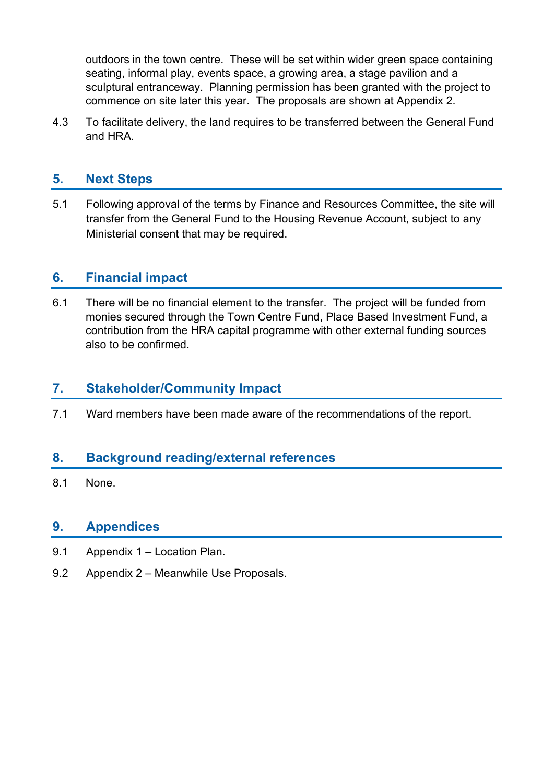outdoors in the town centre. These will be set within wider green space containing seating, informal play, events space, a growing area, a stage pavilion and a sculptural entranceway. Planning permission has been granted with the project to commence on site later this year. The proposals are shown at Appendix 2.

4.3 To facilitate delivery, the land requires to be transferred between the General Fund and HRA.

## **5. Next Steps**

5.1 Following approval of the terms by Finance and Resources Committee, the site will transfer from the General Fund to the Housing Revenue Account, subject to any Ministerial consent that may be required.

## **6. Financial impact**

6.1 There will be no financial element to the transfer. The project will be funded from monies secured through the Town Centre Fund, Place Based Investment Fund, a contribution from the HRA capital programme with other external funding sources also to be confirmed.

## **7. Stakeholder/Community Impact**

7.1 Ward members have been made aware of the recommendations of the report.

## **8. Background reading/external references**

8.1 None.

#### **9. Appendices**

- 9.1 Appendix 1 Location Plan.
- 9.2 Appendix 2 Meanwhile Use Proposals.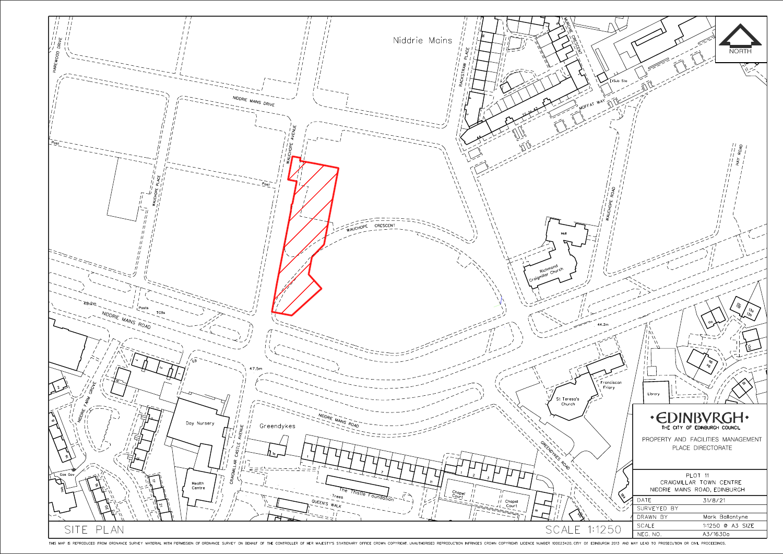

THIS MAP IS REPRODUCED FROM ORDNANCE SURVEY MATERIAL WITH PERMISSION OF ORDNANCE SURVEY ON BEHALF OF THE CONTROLLER OF HER MAJESTY'S STATIONARY OFFICE CROWN COPYRIGHT. UNAUTHORISED REPRODUCTION INFRINGES CROWN COPYRIGHT LI